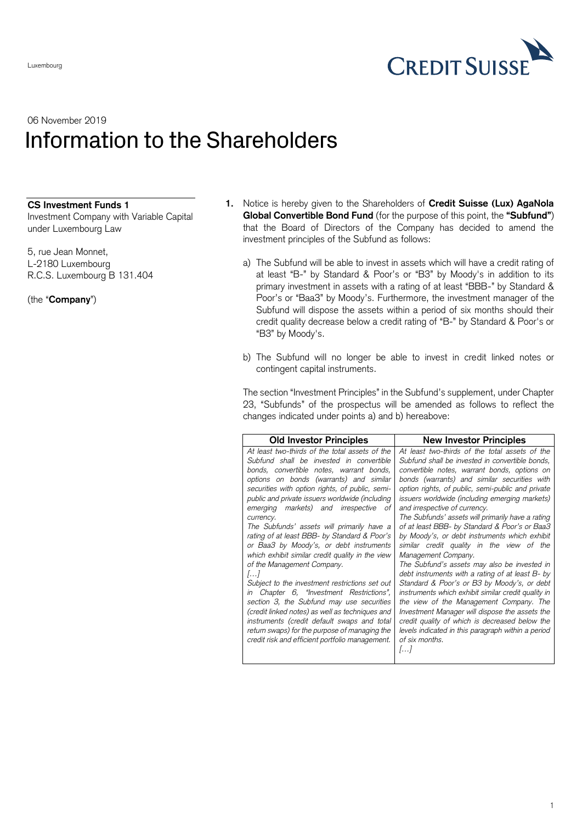

## 06 November 2019 Information to the Shareholders

## **CS Investment Funds 1**

Investment Company with Variable Capital under Luxembourg Law

5, rue Jean Monnet, L-2180 Luxembourg R.C.S. Luxembourg B 131.404

(the "**Company**")

- **1.** Notice is hereby given to the Shareholders of **Credit Suisse (Lux) AgaNola Global Convertible Bond Fund** (for the purpose of this point, the **"Subfund"**) that the Board of Directors of the Company has decided to amend the investment principles of the Subfund as follows:
	- a) The Subfund will be able to invest in assets which will have a credit rating of at least "B-" by Standard & Poor's or "B3" by Moody's in addition to its primary investment in assets with a rating of at least "BBB-" by Standard & Poor's or "Baa3" by Moody's. Furthermore, the investment manager of the Subfund will dispose the assets within a period of six months should their credit quality decrease below a credit rating of "B-" by Standard & Poor's or "B3" by Moody's.
	- b) The Subfund will no longer be able to invest in credit linked notes or contingent capital instruments.

The section "Investment Principles" in the Subfund's supplement, under Chapter 23, "Subfunds" of the prospectus will be amended as follows to reflect the changes indicated under points a) and b) hereabove:

| <b>Old Investor Principles</b>                   | <b>New Investor Principles</b>                      |
|--------------------------------------------------|-----------------------------------------------------|
| At least two-thirds of the total assets of the   | At least two-thirds of the total assets of the      |
| Subfund shall be invested in convertible         | Subfund shall be invested in convertible bonds,     |
| bonds, convertible notes, warrant bonds,         | convertible notes, warrant bonds, options on        |
| options on bonds (warrants) and similar          | bonds (warrants) and similar securities with        |
| securities with option rights, of public, semi-  | option rights, of public, semi-public and private   |
| public and private issuers worldwide (including  | issuers worldwide (including emerging markets)      |
| emerging markets) and irrespective of            | and irrespective of currency.                       |
| currency.                                        | The Subfunds' assets will primarily have a rating   |
| The Subfunds' assets will primarily have a       | of at least BBB- by Standard & Poor's or Baa3       |
| rating of at least BBB- by Standard & Poor's     | by Moody's, or debt instruments which exhibit       |
| or Baa3 by Moody's, or debt instruments          | similar credit quality in the view of the           |
| which exhibit similar credit quality in the view | Management Company.                                 |
| of the Management Company.                       | The Subfund's assets may also be invested in        |
| $\left[\ldots\right]$                            | debt instruments with a rating of at least $B$ - by |
| Subject to the investment restrictions set out   | Standard & Poor's or B3 by Moody's, or debt         |
| Chapter 6, "Investment Restrictions",            | instruments which exhibit similar credit quality in |
| in                                               | the view of the Management Company. The             |
| section 3, the Subfund may use securities        | Investment Manager will dispose the assets the      |
| (credit linked notes) as well as techniques and  | credit quality of which is decreased below the      |
| instruments (credit default swaps and total      | levels indicated in this paragraph within a period  |
| return swaps) for the purpose of managing the    | of six months.                                      |
| credit risk and efficient portfolio management.  | 11                                                  |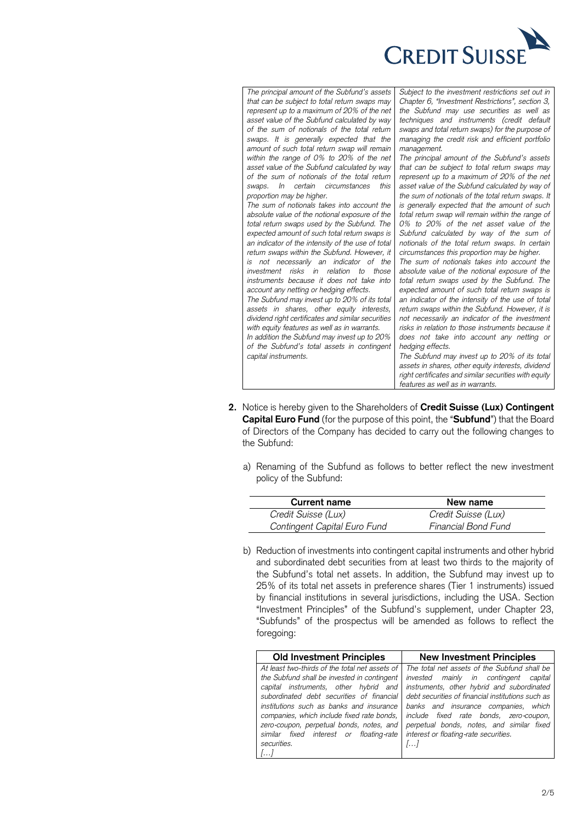

*The principal amount of the Subfund's assets that can be subject to total return swaps may represent up to a maximum of 20% of the net asset value of the Subfund calculated by way of the sum of notionals of the total return swaps. It is generally expected that the amount of such total return swap will remain within the range of 0% to 20% of the net asset value of the Subfund calculated by way of the sum of notionals of the total return swaps. In certain circumstances this proportion may be higher. The sum of notionals takes into account the absolute value of the notional exposure of the total return swaps used by the Subfund. The expected amount of such total return swaps is an indicator of the intensity of the use of total return swaps within the Subfund. However, it is not necessarily an indicator of the investment risks in relation to those instruments because it does not take into account any netting or hedging effects. The Subfund may invest up to 20% of its total assets in shares, other equity interests, dividend right certificates and similar securities with equity features as well as in warrants. In addition the Subfund may invest up to 20% of the Subfund's total assets in contingent capital instruments.*

*Subject to the investment restrictions set out in Chapter 6, "Investment Restrictions", section 3, the Subfund may use securities as well as techniques and instruments (credit default swaps and total return swaps) for the purpose of managing the credit risk and efficient portfolio management.*

*The principal amount of the Subfund's assets that can be subject to total return swaps may represent up to a maximum of 20% of the net asset value of the Subfund calculated by way of the sum of notionals of the total return swaps. It is generally expected that the amount of such total return swap will remain within the range of 0% to 20% of the net asset value of the Subfund calculated by way of the sum of notionals of the total return swaps. In certain circumstances this proportion may be higher. The sum of notionals takes into account the* 

*absolute value of the notional exposure of the total return swaps used by the Subfund. The expected amount of such total return swaps is an indicator of the intensity of the use of total return swaps within the Subfund. However, it is not necessarily an indicator of the investment risks in relation to those instruments because it does not take into account any netting or hedging effects.*

*The Subfund may invest up to 20% of its total assets in shares, other equity interests, dividend right certificates and similar securities with equity features as well as in warrants.*

- **2.** Notice is hereby given to the Shareholders of **Credit Suisse (Lux) Contingent Capital Euro Fund** (for the purpose of this point, the "**Subfund**") that the Board of Directors of the Company has decided to carry out the following changes to the Subfund:
	- a) Renaming of the Subfund as follows to better reflect the new investment policy of the Subfund:

| Current name                 | New name            |  |
|------------------------------|---------------------|--|
| Credit Suisse (Lux)          | Credit Suisse (Lux) |  |
| Contingent Capital Euro Fund | Financial Bond Fund |  |

b) Reduction of investments into contingent capital instruments and other hybrid and subordinated debt securities from at least two thirds to the majority of the Subfund's total net assets. In addition, the Subfund may invest up to 25% of its total net assets in preference shares (Tier 1 instruments) issued by financial institutions in several jurisdictions, including the USA. Section "Investment Principles" of the Subfund's supplement, under Chapter 23, "Subfunds" of the prospectus will be amended as follows to reflect the foregoing:

| <b>Old Investment Principles</b>               | <b>New Investment Principles</b>                                                            |
|------------------------------------------------|---------------------------------------------------------------------------------------------|
| At least two-thirds of the total net assets of | The total net assets of the Subfund shall be                                                |
| the Subfund shall be invested in contingent    | invested mainly in contingent capital                                                       |
| capital instruments, other hybrid and          | instruments, other hybrid and subordinated                                                  |
|                                                | subordinated debt securities of financial debt securities of financial institutions such as |
| institutions such as banks and insurance I     | banks and insurance companies, which                                                        |
| companies, which include fixed rate bonds,     | include fixed rate bonds, zero-coupon,                                                      |
| zero-coupon, perpetual bonds, notes, and       | perpetual bonds, notes, and similar fixed                                                   |
| similar fixed interest or floating-rate        | interest or floating-rate securities.                                                       |
| securities.                                    |                                                                                             |
| I. I                                           |                                                                                             |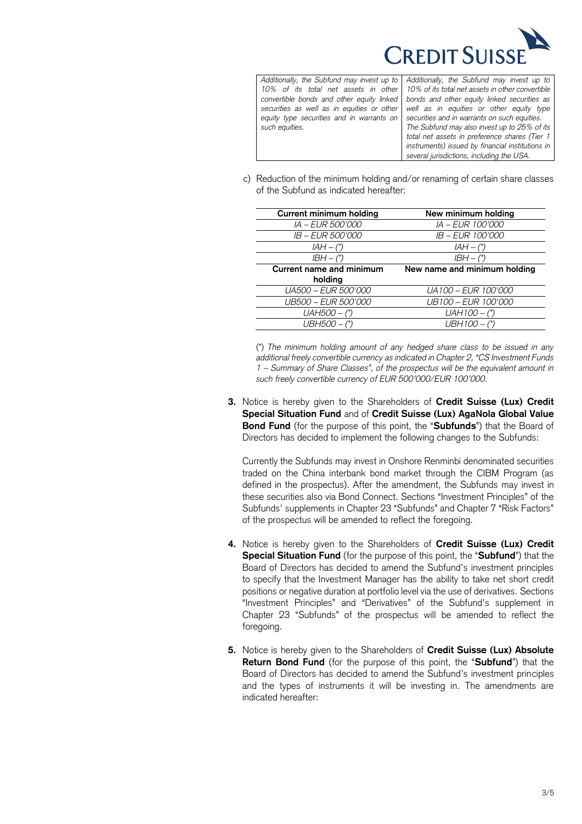

| Additionally, the Subfund may invest up to Add  |      |
|-------------------------------------------------|------|
| 10% of its total net assets in other 109        |      |
| convertible bonds and other equity linked   bon |      |
| securities as well as in equities or other well |      |
| equity type securities and in warrants on sec   |      |
| such equities.                                  | The  |
|                                                 | tota |

*Additionally, the Subfund may invest up to 10% of its total net assets in other convertible bonds and other equity linked securities as well as in equities or other equity type securities and in warrants on such equities. The Subfund may also invest up to 25% of its total net assets in preference shares (Tier 1 instruments) issued by financial institutions in several jurisdictions, including the USA.*

c) Reduction of the minimum holding and/or renaming of certain share classes of the Subfund as indicated hereafter:

| <b>Current minimum holding</b>  | New minimum holding          |
|---------------------------------|------------------------------|
| <i>IA – EUR 500'000</i>         | IA - EUR 100'000             |
| <i>IB – EUR 500'000</i>         | <i>IB – EUR 100'000</i>      |
| $IAH - (*)$                     | $IAH - (*)$                  |
| $IBH - (*)$                     | $IBH - (*)$                  |
| <b>Current name and minimum</b> | New name and minimum holding |
| holding                         |                              |
| UA500 - EUR 500'000             | UA100 - EUR 100'000          |
|                                 |                              |
| UB500 - EUR 500'000             | UB100 - EUR 100'000          |
| $UAH500 - (*)$                  | $UAH100 -$ (*)               |

(\*) *The minimum holding amount of any hedged share class to be issued in any additional freely convertible currency as indicated in Chapter 2, "CS Investment Funds 1 – Summary of Share Classes", of the prospectus will be the equivalent amount in such freely convertible currency of EUR 500'000/EUR 100'000.*

**3.** Notice is hereby given to the Shareholders of **Credit Suisse (Lux) Credit Special Situation Fund** and of **Credit Suisse (Lux) AgaNola Global Value Bond Fund** (for the purpose of this point, the "**Subfunds**") that the Board of Directors has decided to implement the following changes to the Subfunds:

Currently the Subfunds may invest in Onshore Renminbi denominated securities traded on the China interbank bond market through the CIBM Program (as defined in the prospectus). After the amendment, the Subfunds may invest in these securities also via Bond Connect. Sections "Investment Principles" of the Subfunds' supplements in Chapter 23 "Subfunds" and Chapter 7 "Risk Factors" of the prospectus will be amended to reflect the foregoing.

- **4.** Notice is hereby given to the Shareholders of **Credit Suisse (Lux) Credit Special Situation Fund** (for the purpose of this point, the "**Subfund**") that the Board of Directors has decided to amend the Subfund's investment principles to specify that the Investment Manager has the ability to take net short credit positions or negative duration at portfolio level via the use of derivatives. Sections "Investment Principles" and "Derivatives" of the Subfund's supplement in Chapter 23 "Subfunds" of the prospectus will be amended to reflect the foregoing.
- **5.** Notice is hereby given to the Shareholders of **Credit Suisse (Lux) Absolute Return Bond Fund** (for the purpose of this point, the "**Subfund**") that the Board of Directors has decided to amend the Subfund's investment principles and the types of instruments it will be investing in. The amendments are indicated hereafter: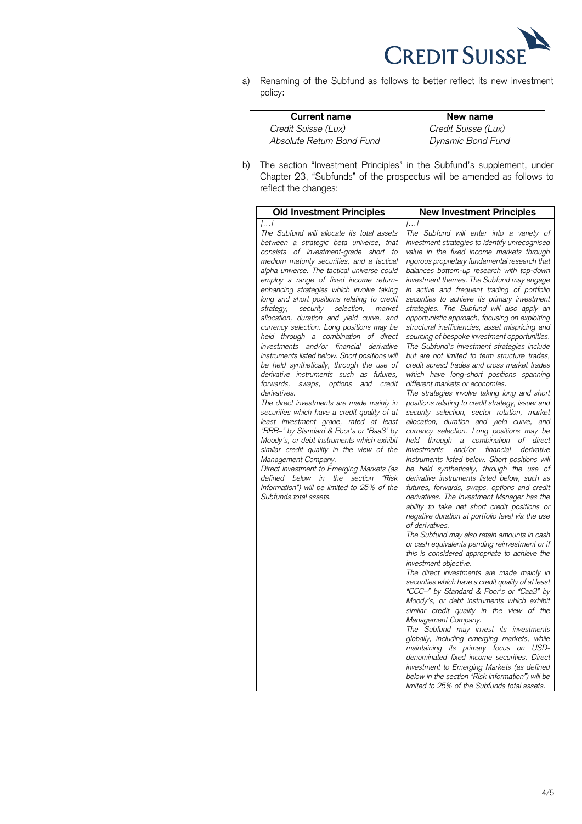

a) Renaming of the Subfund as follows to better reflect its new investment policy:

| Current name              | New name            |
|---------------------------|---------------------|
| Credit Suisse (Lux)       | Credit Suisse (Lux) |
| Absolute Return Bond Fund | Dynamic Bond Fund   |
|                           |                     |

J.

b) The section "Investment Principles" in the Subfund's supplement, under Chapter 23, "Subfunds" of the prospectus will be amended as follows to reflect the changes: